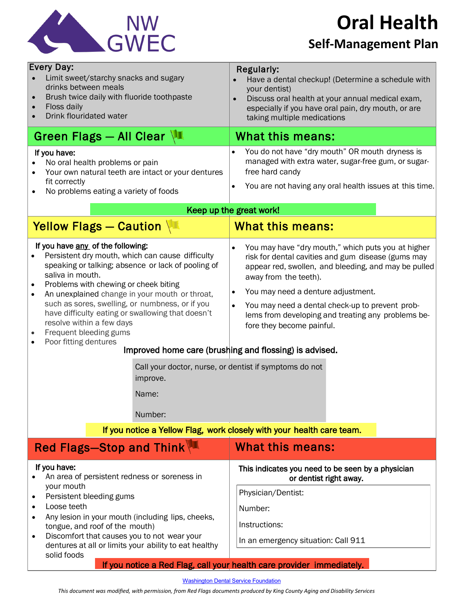

**Oral Health**

## **Self-Management Plan**

| <b>Every Day:</b><br>Limit sweet/starchy snacks and sugary<br>drinks between meals<br>Brush twice daily with fluoride toothpaste<br>Floss daily<br>$\bullet$<br>Drink flouridated water                                                                                                                                                                                                                                                                                                         | <b>Regularly:</b><br>Have a dental checkup! (Determine a schedule with<br>your dentist)<br>Discuss oral health at your annual medical exam,<br>$\bullet$<br>especially if you have oral pain, dry mouth, or are<br>taking multiple medications                                                                                                                                                                                                                                                                                                                                                            |
|-------------------------------------------------------------------------------------------------------------------------------------------------------------------------------------------------------------------------------------------------------------------------------------------------------------------------------------------------------------------------------------------------------------------------------------------------------------------------------------------------|-----------------------------------------------------------------------------------------------------------------------------------------------------------------------------------------------------------------------------------------------------------------------------------------------------------------------------------------------------------------------------------------------------------------------------------------------------------------------------------------------------------------------------------------------------------------------------------------------------------|
| Green Flags - All Clear $\sqrt{1}$                                                                                                                                                                                                                                                                                                                                                                                                                                                              | What this means:                                                                                                                                                                                                                                                                                                                                                                                                                                                                                                                                                                                          |
| If you have:<br>No oral health problems or pain<br>Your own natural teeth are intact or your dentures<br>fit correctly<br>No problems eating a variety of foods                                                                                                                                                                                                                                                                                                                                 | You do not have "dry mouth" OR mouth dryness is<br>$\bullet$<br>managed with extra water, sugar-free gum, or sugar-<br>free hard candy<br>You are not having any oral health issues at this time.<br>$\bullet$                                                                                                                                                                                                                                                                                                                                                                                            |
| Keep up the great work!                                                                                                                                                                                                                                                                                                                                                                                                                                                                         |                                                                                                                                                                                                                                                                                                                                                                                                                                                                                                                                                                                                           |
| Yellow Flags - Caution                                                                                                                                                                                                                                                                                                                                                                                                                                                                          | <b>What this means:</b>                                                                                                                                                                                                                                                                                                                                                                                                                                                                                                                                                                                   |
| If you have any of the following:<br>Persistent dry mouth, which can cause difficulty<br>speaking or talking; absence or lack of pooling of<br>saliva in mouth.<br>Problems with chewing or cheek biting<br>An unexplained change in your mouth or throat,<br>$\bullet$<br>such as sores, swelling, or numbness, or if you<br>have difficulty eating or swallowing that doesn't<br>resolve within a few days<br>Frequent bleeding gums<br>Poor fitting dentures<br>improve.<br>Name:<br>Number: | You may have "dry mouth," which puts you at higher<br>$\bullet$<br>risk for dental cavities and gum disease (gums may<br>appear red, swollen, and bleeding, and may be pulled<br>away from the teeth).<br>You may need a denture adjustment.<br>$\bullet$<br>You may need a dental check-up to prevent prob-<br>$\bullet$<br>lems from developing and treating any problems be-<br>fore they become painful.<br>Improved home care (brushing and flossing) is advised.<br>Call your doctor, nurse, or dentist if symptoms do not<br>If you notice a Yellow Flag, work closely with your health care team. |
| <b>Red Flags-Stop and Think</b>                                                                                                                                                                                                                                                                                                                                                                                                                                                                 | <b>What this means:</b>                                                                                                                                                                                                                                                                                                                                                                                                                                                                                                                                                                                   |
| If you have:<br>An area of persistent redness or soreness in<br>your mouth<br>Persistent bleeding gums<br>٠<br>Loose teeth<br>$\bullet$<br>Any lesion in your mouth (including lips, cheeks,<br>$\bullet$<br>tongue, and roof of the mouth)<br>Discomfort that causes you to not wear your<br>dentures at all or limits your ability to eat healthy                                                                                                                                             | This indicates you need to be seen by a physician<br>or dentist right away.<br>Physician/Dentist:<br>Number:<br>Instructions:<br>In an emergency situation: Call 911                                                                                                                                                                                                                                                                                                                                                                                                                                      |
| solid foods                                                                                                                                                                                                                                                                                                                                                                                                                                                                                     | If you notice a Red Flag, call your health care provider immediately.                                                                                                                                                                                                                                                                                                                                                                                                                                                                                                                                     |

[Washington](http://www.deltadentalwa.com/Guest/Public/AboutUs/WDS%20Foundation/Educational%20Materials.aspx) Dental Service Foundation